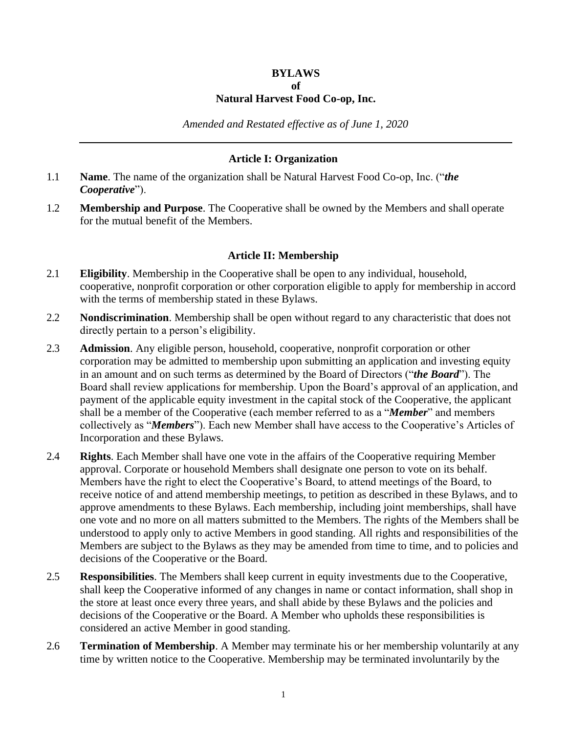#### **BYLAWS**

### **of**

## **Natural Harvest Food Co-op, Inc.**

*Amended and Restated effective as of June 1, 2020*

### **Article I: Organization**

- 1.1 **Name**. The name of the organization shall be Natural Harvest Food Co-op, Inc. ("*the Cooperative*").
- 1.2 **Membership and Purpose**. The Cooperative shall be owned by the Members and shall operate for the mutual benefit of the Members.

### **Article II: Membership**

- 2.1 **Eligibility**. Membership in the Cooperative shall be open to any individual, household, cooperative, nonprofit corporation or other corporation eligible to apply for membership in accord with the terms of membership stated in these Bylaws.
- 2.2 **Nondiscrimination**. Membership shall be open without regard to any characteristic that does not directly pertain to a person's eligibility.
- 2.3 **Admission**. Any eligible person, household, cooperative, nonprofit corporation or other corporation may be admitted to membership upon submitting an application and investing equity in an amount and on such terms as determined by the Board of Directors ("*the Board*"). The Board shall review applications for membership. Upon the Board's approval of an application, and payment of the applicable equity investment in the capital stock of the Cooperative, the applicant shall be a member of the Cooperative (each member referred to as a "*Member*" and members collectively as "*Members*"). Each new Member shall have access to the Cooperative's Articles of Incorporation and these Bylaws.
- 2.4 **Rights**. Each Member shall have one vote in the affairs of the Cooperative requiring Member approval. Corporate or household Members shall designate one person to vote on its behalf. Members have the right to elect the Cooperative's Board, to attend meetings of the Board, to receive notice of and attend membership meetings, to petition as described in these Bylaws, and to approve amendments to these Bylaws. Each membership, including joint memberships, shall have one vote and no more on all matters submitted to the Members. The rights of the Members shall be understood to apply only to active Members in good standing. All rights and responsibilities of the Members are subject to the Bylaws as they may be amended from time to time, and to policies and decisions of the Cooperative or the Board.
- 2.5 **Responsibilities**. The Members shall keep current in equity investments due to the Cooperative, shall keep the Cooperative informed of any changes in name or contact information, shall shop in the store at least once every three years, and shall abide by these Bylaws and the policies and decisions of the Cooperative or the Board. A Member who upholds these responsibilities is considered an active Member in good standing.
- 2.6 **Termination of Membership**. A Member may terminate his or her membership voluntarily at any time by written notice to the Cooperative. Membership may be terminated involuntarily by the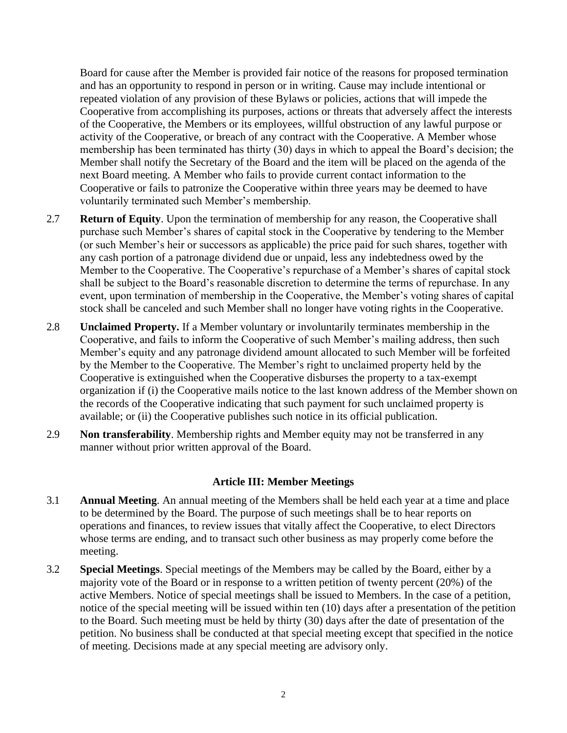Board for cause after the Member is provided fair notice of the reasons for proposed termination and has an opportunity to respond in person or in writing. Cause may include intentional or repeated violation of any provision of these Bylaws or policies, actions that will impede the Cooperative from accomplishing its purposes, actions or threats that adversely affect the interests of the Cooperative, the Members or its employees, willful obstruction of any lawful purpose or activity of the Cooperative, or breach of any contract with the Cooperative. A Member whose membership has been terminated has thirty (30) days in which to appeal the Board's decision; the Member shall notify the Secretary of the Board and the item will be placed on the agenda of the next Board meeting. A Member who fails to provide current contact information to the Cooperative or fails to patronize the Cooperative within three years may be deemed to have voluntarily terminated such Member's membership.

- 2.7 **Return of Equity**. Upon the termination of membership for any reason, the Cooperative shall purchase such Member's shares of capital stock in the Cooperative by tendering to the Member (or such Member's heir or successors as applicable) the price paid for such shares, together with any cash portion of a patronage dividend due or unpaid, less any indebtedness owed by the Member to the Cooperative. The Cooperative's repurchase of a Member's shares of capital stock shall be subject to the Board's reasonable discretion to determine the terms of repurchase. In any event, upon termination of membership in the Cooperative, the Member's voting shares of capital stock shall be canceled and such Member shall no longer have voting rights in the Cooperative.
- 2.8 **Unclaimed Property.** If a Member voluntary or involuntarily terminates membership in the Cooperative, and fails to inform the Cooperative of such Member's mailing address, then such Member's equity and any patronage dividend amount allocated to such Member will be forfeited by the Member to the Cooperative. The Member's right to unclaimed property held by the Cooperative is extinguished when the Cooperative disburses the property to a tax-exempt organization if (i) the Cooperative mails notice to the last known address of the Member shown on the records of the Cooperative indicating that such payment for such unclaimed property is available; or (ii) the Cooperative publishes such notice in its official publication.
- 2.9 **Non transferability**. Membership rights and Member equity may not be transferred in any manner without prior written approval of the Board.

# **Article III: Member Meetings**

- 3.1 **Annual Meeting**. An annual meeting of the Members shall be held each year at a time and place to be determined by the Board. The purpose of such meetings shall be to hear reports on operations and finances, to review issues that vitally affect the Cooperative, to elect Directors whose terms are ending, and to transact such other business as may properly come before the meeting.
- 3.2 **Special Meetings**. Special meetings of the Members may be called by the Board, either by a majority vote of the Board or in response to a written petition of twenty percent (20%) of the active Members. Notice of special meetings shall be issued to Members. In the case of a petition, notice of the special meeting will be issued within ten (10) days after a presentation of the petition to the Board. Such meeting must be held by thirty (30) days after the date of presentation of the petition. No business shall be conducted at that special meeting except that specified in the notice of meeting. Decisions made at any special meeting are advisory only.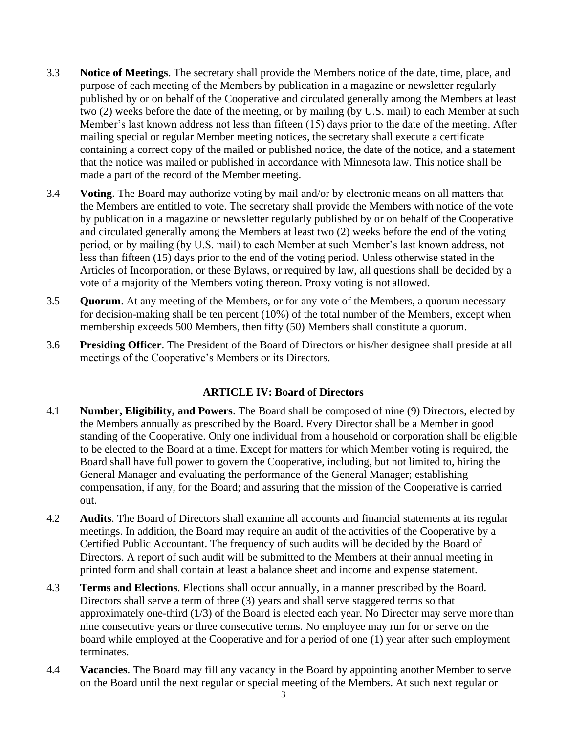- 3.3 **Notice of Meetings**. The secretary shall provide the Members notice of the date, time, place, and purpose of each meeting of the Members by publication in a magazine or newsletter regularly published by or on behalf of the Cooperative and circulated generally among the Members at least two (2) weeks before the date of the meeting, or by mailing (by U.S. mail) to each Member at such Member's last known address not less than fifteen (15) days prior to the date of the meeting. After mailing special or regular Member meeting notices, the secretary shall execute a certificate containing a correct copy of the mailed or published notice, the date of the notice, and a statement that the notice was mailed or published in accordance with Minnesota law. This notice shall be made a part of the record of the Member meeting.
- 3.4 **Voting**. The Board may authorize voting by mail and/or by electronic means on all matters that the Members are entitled to vote. The secretary shall provide the Members with notice of the vote by publication in a magazine or newsletter regularly published by or on behalf of the Cooperative and circulated generally among the Members at least two (2) weeks before the end of the voting period, or by mailing (by U.S. mail) to each Member at such Member's last known address, not less than fifteen (15) days prior to the end of the voting period. Unless otherwise stated in the Articles of Incorporation, or these Bylaws, or required by law, all questions shall be decided by a vote of a majority of the Members voting thereon. Proxy voting is not allowed.
- 3.5 **Quorum**. At any meeting of the Members, or for any vote of the Members, a quorum necessary for decision-making shall be ten percent (10%) of the total number of the Members, except when membership exceeds 500 Members, then fifty (50) Members shall constitute a quorum.
- 3.6 **Presiding Officer**. The President of the Board of Directors or his/her designee shall preside at all meetings of the Cooperative's Members or its Directors.

# **ARTICLE IV: Board of Directors**

- 4.1 **Number, Eligibility, and Powers**. The Board shall be composed of nine (9) Directors, elected by the Members annually as prescribed by the Board. Every Director shall be a Member in good standing of the Cooperative. Only one individual from a household or corporation shall be eligible to be elected to the Board at a time. Except for matters for which Member voting is required, the Board shall have full power to govern the Cooperative, including, but not limited to, hiring the General Manager and evaluating the performance of the General Manager; establishing compensation, if any, for the Board; and assuring that the mission of the Cooperative is carried out.
- 4.2 **Audits**. The Board of Directors shall examine all accounts and financial statements at its regular meetings. In addition, the Board may require an audit of the activities of the Cooperative by a Certified Public Accountant. The frequency of such audits will be decided by the Board of Directors. A report of such audit will be submitted to the Members at their annual meeting in printed form and shall contain at least a balance sheet and income and expense statement.
- 4.3 **Terms and Elections**. Elections shall occur annually, in a manner prescribed by the Board. Directors shall serve a term of three (3) years and shall serve staggered terms so that approximately one-third (1/3) of the Board is elected each year. No Director may serve more than nine consecutive years or three consecutive terms. No employee may run for or serve on the board while employed at the Cooperative and for a period of one (1) year after such employment terminates.
- 4.4 **Vacancies**. The Board may fill any vacancy in the Board by appointing another Member to serve on the Board until the next regular or special meeting of the Members. At such next regular or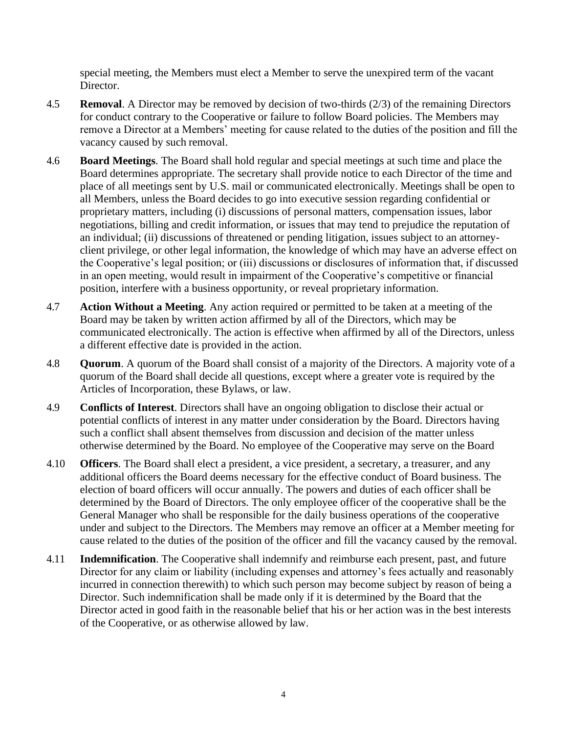special meeting, the Members must elect a Member to serve the unexpired term of the vacant Director.

- 4.5 **Removal**. A Director may be removed by decision of two-thirds (2/3) of the remaining Directors for conduct contrary to the Cooperative or failure to follow Board policies. The Members may remove a Director at a Members' meeting for cause related to the duties of the position and fill the vacancy caused by such removal.
- 4.6 **Board Meetings**. The Board shall hold regular and special meetings at such time and place the Board determines appropriate. The secretary shall provide notice to each Director of the time and place of all meetings sent by U.S. mail or communicated electronically. Meetings shall be open to all Members, unless the Board decides to go into executive session regarding confidential or proprietary matters, including (i) discussions of personal matters, compensation issues, labor negotiations, billing and credit information, or issues that may tend to prejudice the reputation of an individual; (ii) discussions of threatened or pending litigation, issues subject to an attorneyclient privilege, or other legal information, the knowledge of which may have an adverse effect on the Cooperative's legal position; or (iii) discussions or disclosures of information that, if discussed in an open meeting, would result in impairment of the Cooperative's competitive or financial position, interfere with a business opportunity, or reveal proprietary information.
- 4.7 **Action Without a Meeting**. Any action required or permitted to be taken at a meeting of the Board may be taken by written action affirmed by all of the Directors, which may be communicated electronically. The action is effective when affirmed by all of the Directors, unless a different effective date is provided in the action.
- 4.8 **Quorum**. A quorum of the Board shall consist of a majority of the Directors. A majority vote of a quorum of the Board shall decide all questions, except where a greater vote is required by the Articles of Incorporation, these Bylaws, or law.
- 4.9 **Conflicts of Interest**. Directors shall have an ongoing obligation to disclose their actual or potential conflicts of interest in any matter under consideration by the Board. Directors having such a conflict shall absent themselves from discussion and decision of the matter unless otherwise determined by the Board. No employee of the Cooperative may serve on the Board
- 4.10 **Officers**. The Board shall elect a president, a vice president, a secretary, a treasurer, and any additional officers the Board deems necessary for the effective conduct of Board business. The election of board officers will occur annually. The powers and duties of each officer shall be determined by the Board of Directors. The only employee officer of the cooperative shall be the General Manager who shall be responsible for the daily business operations of the cooperative under and subject to the Directors. The Members may remove an officer at a Member meeting for cause related to the duties of the position of the officer and fill the vacancy caused by the removal.
- 4.11 **Indemnification**. The Cooperative shall indemnify and reimburse each present, past, and future Director for any claim or liability (including expenses and attorney's fees actually and reasonably incurred in connection therewith) to which such person may become subject by reason of being a Director. Such indemnification shall be made only if it is determined by the Board that the Director acted in good faith in the reasonable belief that his or her action was in the best interests of the Cooperative, or as otherwise allowed by law.